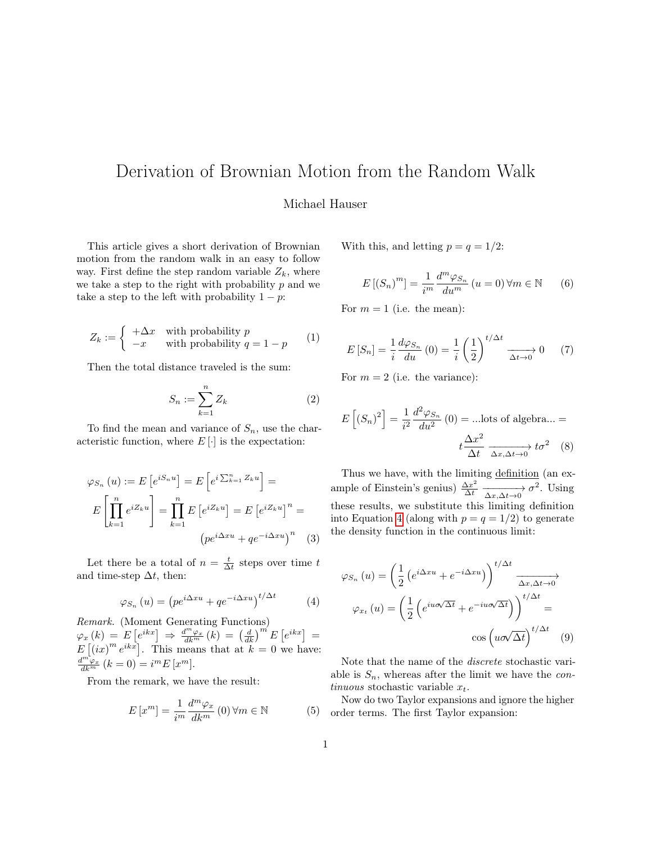## Derivation of Brownian Motion from the Random Walk

## Michael Hauser

This article gives a short derivation of Brownian motion from the random walk in an easy to follow way. First define the step random variable  $Z_k$ , where we take a step to the right with probability  $p$  and we take a step to the left with probability  $1 - p$ :

$$
Z_k := \begin{cases} +\Delta x & \text{with probability } p \\ -x & \text{with probability } q = 1 - p \end{cases}
$$
 (1)

Then the total distance traveled is the sum:

$$
S_n := \sum_{k=1}^n Z_k \tag{2}
$$

To find the mean and variance of  $S_n$ , use the characteristic function, where  $E[\cdot]$  is the expectation:

$$
\varphi_{S_n}(u) := E\left[e^{iS_n u}\right] = E\left[e^{i\sum_{k=1}^n Z_k u}\right] =
$$

$$
E\left[\prod_{k=1}^n e^{iZ_k u}\right] = \prod_{k=1}^n E\left[e^{iZ_k u}\right] = E\left[e^{iZ_k u}\right]^n =
$$

$$
\left(pe^{i\Delta x u} + qe^{-i\Delta x u}\right)^n \quad (3)
$$

Let there be a total of  $n = \frac{t}{\Delta t}$  steps over time t and time-step  $\Delta t$ , then:

<span id="page-0-0"></span>
$$
\varphi_{S_n}(u) = \left( p e^{i\Delta x u} + q e^{-i\Delta x u} \right)^{t/\Delta t} \tag{4}
$$

Remark. (Moment Generating Functions)  $\varphi_x \left( k \right) \, = \, \overset{\cdot }{E} \left[ e^{ikx} \right] \, \Rightarrow \, \frac{d^m \varphi_x}{dk^m} \left( k \right) \, = \, \left( \frac{d}{dk} \right)^m E \left[ e^{ikx} \right] \, = \,$  $E[(ix)^m e^{ikx}]$ . This means that at  $k = 0$  we have:  $\frac{d^{m}\varphi_x}{dk^m}(k=0) = i^m E[x^m].$ 

From the remark, we have the result:

$$
E\left[x^{m}\right] = \frac{1}{i^{m}} \frac{d^{m} \varphi_{x}}{dk^{m}}\left(0\right) \forall m \in \mathbb{N}
$$
 (5)

With this, and letting  $p = q = 1/2$ :

$$
E\left[\left(S_n\right)^m\right] = \frac{1}{i^m} \frac{d^m \varphi_{S_n}}{du^m} \left(u = 0\right) \forall m \in \mathbb{N} \tag{6}
$$

For  $m = 1$  (i.e. the mean):

$$
E\left[S_n\right] = \frac{1}{i} \frac{d\varphi_{S_n}}{du} \left(0\right) = \frac{1}{i} \left(\frac{1}{2}\right)^{t/\Delta t} \xrightarrow[\Delta t \to 0]{} 0 \tag{7}
$$

For  $m = 2$  (i.e. the variance):

$$
E\left[\left(S_n\right)^2\right] = \frac{1}{i^2} \frac{d^2 \varphi_{S_n}}{du^2} \left(0\right) = \text{...} \text{ lots of algebra...} =
$$

$$
t \frac{\Delta x^2}{\Delta t} \xrightarrow{\Delta x, \Delta t \to 0} t\sigma^2 \quad (8)
$$

Thus we have, with the limiting definition (an example of Einstein's genius)  $\frac{\Delta x^2}{\Delta t} \xrightarrow[\Delta x, \Delta t \to 0]{} \sigma^2$ . Using these results, we substitute this limiting definition into Equation [4](#page-0-0) (along with  $p = q = 1/2$ ) to generate the density function in the continuous limit:

$$
\varphi_{S_n}(u) = \left(\frac{1}{2} \left(e^{i\Delta x u} + e^{-i\Delta x u}\right)\right)^{t/\Delta t} \xrightarrow[\Delta x, \Delta t \to 0]{\Delta x, \Delta t \to 0}
$$

$$
\varphi_{x_t}(u) = \left(\frac{1}{2} \left(e^{iu\sigma\sqrt{\Delta t}} + e^{-iu\sigma\sqrt{\Delta t}}\right)\right)^{t/\Delta t} = \cos\left(u\sigma\sqrt{\Delta t}\right)^{t/\Delta t} \tag{9}
$$

Note that the name of the discrete stochastic variable is  $S_n$ , whereas after the limit we have the *con*tinuous stochastic variable  $x_t$ .

Now do two Taylor expansions and ignore the higher order terms. The first Taylor expansion: